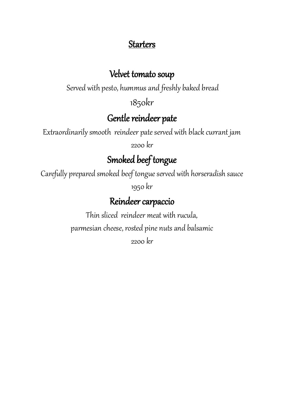### **Starters**

#### Velvet tomato soup

Served with pesto, hummus and freshly baked bread

1850kr

### Gentle reindeer pate

Extraordinarily smooth reindeer pate served with black currant jam

2200 kr

# Smoked beef tongue

Carefully prepared smoked beef tongue served with horseradish sauce 1950 kr

#### Reindeer carpaccio

Thin sliced reindeer meat with rucula, parmesian cheese, rosted pine nuts and balsamic 2200 kr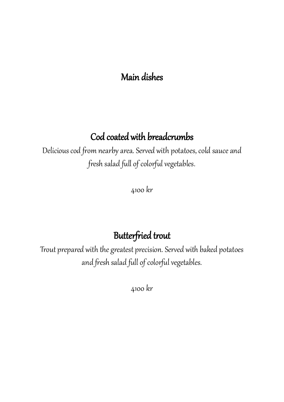## Main dishes

# Cod coated with breadcrumbs

Delicious cod from nearby area. Served with potatoes, cold sauce and fresh salad full of colorful vegetables.

4100 kr

## Butterfried trout

Trout prepared with the greatest precision. Served with baked potatoes and fresh salad full of colorful vegetables.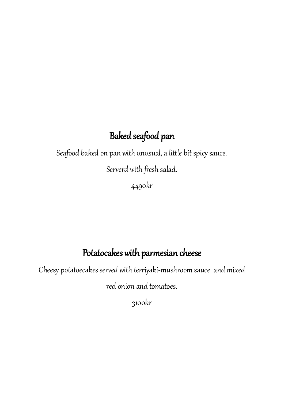# Baked seafood pan

Seafood baked on pan with unusual, a little bit spicy sauce.

Serverd with fresh salad.

4490kr

# Potatocakes with parmesian cheese

Cheesy potatoecakes served with terriyaki-mushroom sauce and mixed

red onion and tomatoes.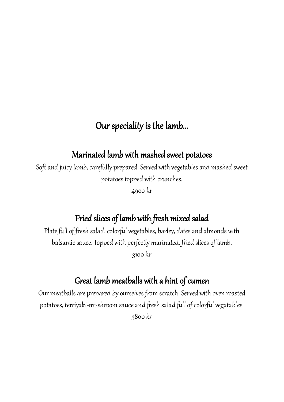# Our speciality is the lamb...

#### Marinated lamb with mashed sweet potatoes

Soft and juicy lamb, carefully prepared. Served with vegetables and mashed sweet potatoes topped with crunches.

4900 kr

## Fried slices of lamb with fresh mixed salad

Plate full of fresh salad, colorful vegetables, barley, dates and almonds with balsamic sauce. Topped with perfectly marinated, fried slices of lamb. 3100 kr

#### Great lamb meatballs with a hint of cumen

Our meatballs are prepared by ourselves from scratch. Served with oven roasted potatoes, terriyaki-mushroom sauce and fresh salad full of colorful vegatables. 3800 kr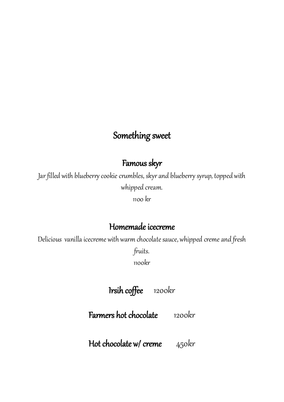## Something sweet

#### Famous skyr

Jar filled with blueberry cookie crumbles, skyr and blueberry syrup, topped with whipped cream.

1100 kr

#### Homemade icecreme

Delicious vanilla icecreme with warm chocolate sauce, whipped creme and fresh

fruits.

1100kr

## Irsih coffee 1200kr

Farmers hot chocolate 1200kr

Hot chocolate w/ creme 450kr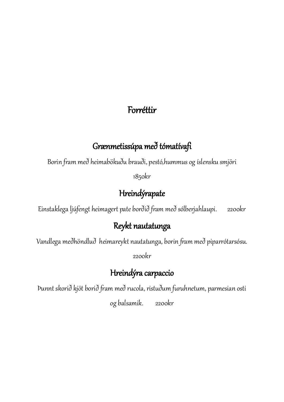### Forréttir

### Grænmetissúpa með tómatívafi

Borin fram með heimabökuðu brauði, pestó,hummus og íslensku smjöri

1850kr

## Hreindýrapate

Einstaklega ljúfengt heimagert pate borðið fram með sólberjahlaupi. 2200kr

## Reykt nautatunga

Vandlega meðhöndluð heimareykt nautatunga, borin fram með piparrótarsósu.

2200kr

## Hreindýra carpaccio

Þunnt skorið kjöt borið fram með rucola, ristuðum furuhnetum, parmesian osti

og balsamik. 2200kr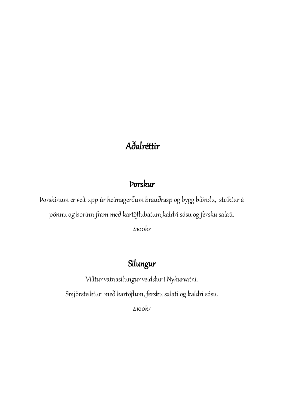# Aðalréttir

#### Þorskur

Þorskinum er velt upp úr heimagerðum brauðrasp og bygg blöndu, steiktur á pönnu og borinn fram með kartöflubátum,kaldri sósu og fersku salati.

4100kr

## Silungur

Villtur vatnasilungur veiddur í Nykurvatni. Smjörsteiktur með kartöflum, fersku salati og kaldri sósu. 4100kr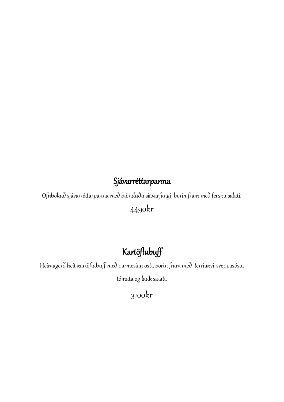#### **Sjávarréttarpanna**

Ofnbökuð sjávarréttarpanna með blönduðu sjávarfangi, borin fram með fersku salati.

4490kr

# Kartöflubuff

Heimagerð heit kartöflubuff með parmesian osti, borin fram með terriakyi-sveppasósu,

tómata og lauk salati.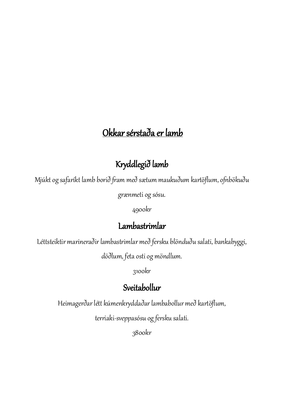# Okkar sérstaða er lamb

# Kryddlegið lamb

Mjúkt og safaríkt lamb borið fram með sætum maukuðum kartöflum, ofnbökuðu

grænmeti og sósu.

4900kr

### Lambastrimlar

Léttsteiktir marineraðir lambastrimlar með fersku blönduðu salati, bankabyggi,

döðlum, feta osti og möndlum.

3100kr

# Sveitabollur

Heimagerðar létt kúmenkryddaðar lambabollur með kartöflum,

terriaki-sveppasósu og fersku salati.